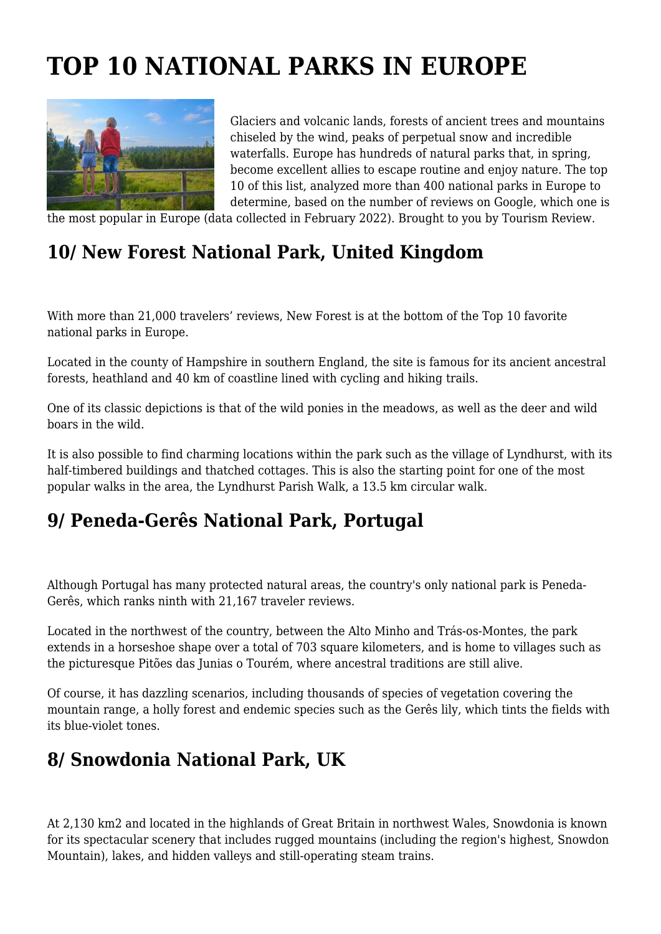# **TOP 10 NATIONAL PARKS IN EUROPE**



Glaciers and volcanic lands, forests of ancient trees and mountains chiseled by the wind, peaks of perpetual snow and incredible waterfalls. Europe has hundreds of natural parks that, in spring, become excellent allies to escape routine and enjoy nature. The top 10 of this list, analyzed more than 400 national parks in Europe to determine, based on the number of reviews on Google, which one is

the most popular in Europe (data collected in February 2022). Brought to you by Tourism Review.

# **10/ New Forest National Park, United Kingdom**

With more than 21,000 travelers' reviews, New Forest is at the bottom of the Top 10 favorite national parks in Europe.

Located in the county of Hampshire in southern England, the site is famous for its ancient ancestral forests, heathland and 40 km of coastline lined with cycling and hiking trails.

One of its classic depictions is that of the wild ponies in the meadows, as well as the deer and wild boars in the wild.

It is also possible to find charming locations within the park such as the village of Lyndhurst, with its half-timbered buildings and thatched cottages. This is also the starting point for one of the most popular walks in the area, the Lyndhurst Parish Walk, a 13.5 km circular walk.

#### **9/ Peneda-Gerês National Park, Portugal**

Although Portugal has many protected natural areas, the country's only national park is Peneda-Gerês, which ranks ninth with 21,167 traveler reviews.

Located in the northwest of the country, between the Alto Minho and Trás-os-Montes, the park extends in a horseshoe shape over a total of 703 square kilometers, and is home to villages such as the picturesque Pitões das Junias o Tourém, where ancestral traditions are still alive.

Of course, it has dazzling scenarios, including thousands of species of vegetation covering the mountain range, a holly forest and endemic species such as the Gerês lily, which tints the fields with its blue-violet tones.

#### **8/ Snowdonia National Park, UK**

At 2,130 km2 and located in the highlands of Great Britain in northwest Wales, Snowdonia is known for its spectacular scenery that includes rugged mountains (including the region's highest, Snowdon Mountain), lakes, and hidden valleys and still-operating steam trains.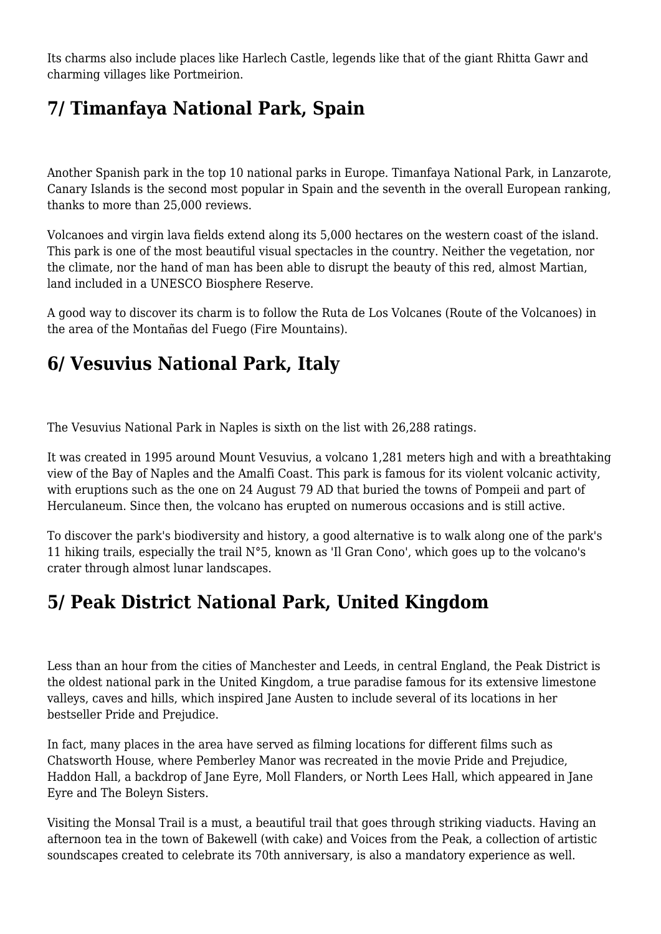Its charms also include places like Harlech Castle, legends like that of the giant Rhitta Gawr and charming villages like Portmeirion.

# **7/ Timanfaya National Park, Spain**

Another Spanish park in the top 10 national parks in Europe. Timanfaya National Park, in Lanzarote, Canary Islands is the second most popular in Spain and the seventh in the overall European ranking, thanks to more than 25,000 reviews.

Volcanoes and virgin lava fields extend along its 5,000 hectares on the western coast of the island. This park is one of the most beautiful visual spectacles in the country. Neither the vegetation, nor the climate, nor the hand of man has been able to disrupt the beauty of this red, almost Martian, land included in a UNESCO Biosphere Reserve.

A good way to discover its charm is to follow the Ruta de Los Volcanes (Route of the Volcanoes) in the area of the Montañas del Fuego (Fire Mountains).

## **6/ Vesuvius National Park, Italy**

The Vesuvius National Park in Naples is sixth on the list with 26,288 ratings.

It was created in 1995 around Mount Vesuvius, a volcano 1,281 meters high and with a breathtaking view of the Bay of Naples and the Amalfi Coast. This park is famous for its violent volcanic activity, with eruptions such as the one on 24 August 79 AD that buried the towns of Pompeii and part of Herculaneum. Since then, the volcano has erupted on numerous occasions and is still active.

To discover the park's biodiversity and history, a good alternative is to walk along one of the park's 11 hiking trails, especially the trail N°5, known as 'Il Gran Cono', which goes up to the volcano's crater through almost lunar landscapes.

## **5/ Peak District National Park, United Kingdom**

Less than an hour from the cities of Manchester and Leeds, in central England, the Peak District is the oldest national park in the United Kingdom, a true paradise famous for its extensive limestone valleys, caves and hills, which inspired Jane Austen to include several of its locations in her bestseller Pride and Prejudice.

In fact, many places in the area have served as filming locations for different films such as Chatsworth House, where Pemberley Manor was recreated in the movie Pride and Prejudice, Haddon Hall, a backdrop of Jane Eyre, Moll Flanders, or North Lees Hall, which appeared in Jane Eyre and The Boleyn Sisters.

Visiting the Monsal Trail is a must, a beautiful trail that goes through striking viaducts. Having an afternoon tea in the town of Bakewell (with cake) and Voices from the Peak, a collection of artistic soundscapes created to celebrate its 70th anniversary, is also a mandatory experience as well.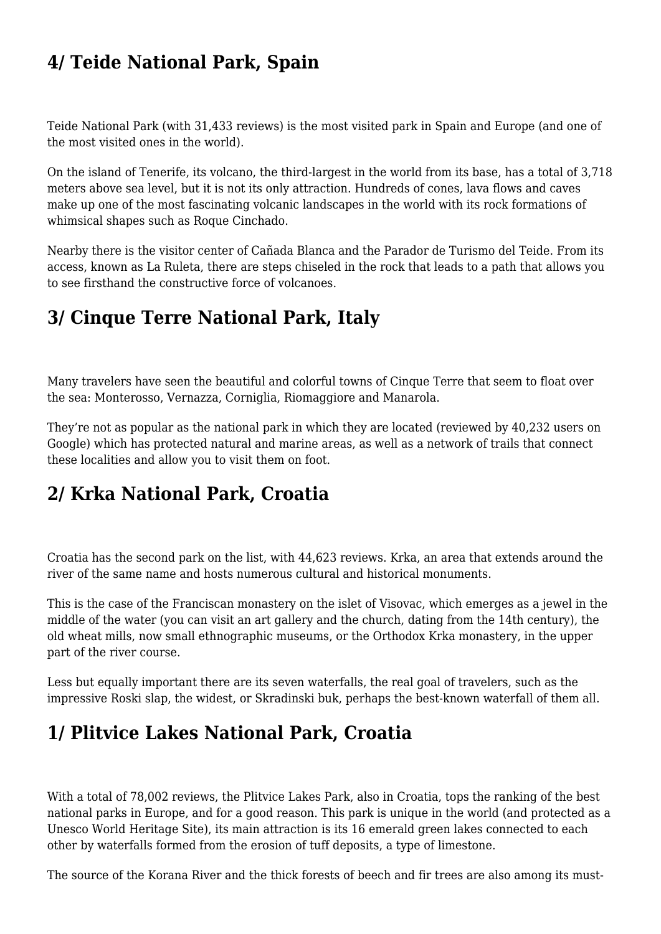#### **4/ Teide National Park, Spain**

Teide National Park (with 31,433 reviews) is the most visited park in Spain and Europe (and one of the most visited ones in the world).

On the island of Tenerife, its volcano, the third-largest in the world from its base, has a total of 3,718 meters above sea level, but it is not its only attraction. Hundreds of cones, lava flows and caves make up one of the most fascinating volcanic landscapes in the world with its rock formations of whimsical shapes such as Roque Cinchado.

Nearby there is the visitor center of Cañada Blanca and the Parador de Turismo del Teide. From its access, known as La Ruleta, there are steps chiseled in the rock that leads to a path that allows you to see firsthand the constructive force of volcanoes.

## **3/ Cinque Terre National Park, Italy**

Many travelers have seen the beautiful and colorful towns of Cinque Terre that seem to float over the sea: Monterosso, Vernazza, Corniglia, Riomaggiore and Manarola.

They're not as popular as the national park in which they are located (reviewed by 40,232 users on Google) which has protected natural and marine areas, as well as a network of trails that connect these localities and allow you to visit them on foot.

#### **2/ Krka National Park, Croatia**

Croatia has the second park on the list, with 44,623 reviews. Krka, an area that extends around the river of the same name and hosts numerous cultural and historical monuments.

This is the case of the Franciscan monastery on the islet of Visovac, which emerges as a jewel in the middle of the water (you can visit an art gallery and the church, dating from the 14th century), the old wheat mills, now small ethnographic museums, or the Orthodox Krka monastery, in the upper part of the river course.

Less but equally important there are its seven waterfalls, the real goal of travelers, such as the impressive Roski slap, the widest, or Skradinski buk, perhaps the best-known waterfall of them all.

## **1/ Plitvice Lakes National Park, Croatia**

With a total of 78,002 reviews, the Plitvice Lakes Park, also in Croatia, tops the ranking of the best national parks in Europe, and for a good reason. This park is unique in the world (and protected as a Unesco World Heritage Site), its main attraction is its 16 emerald green lakes connected to each other by waterfalls formed from the erosion of tuff deposits, a type of limestone.

The source of the Korana River and the thick forests of beech and fir trees are also among its must-